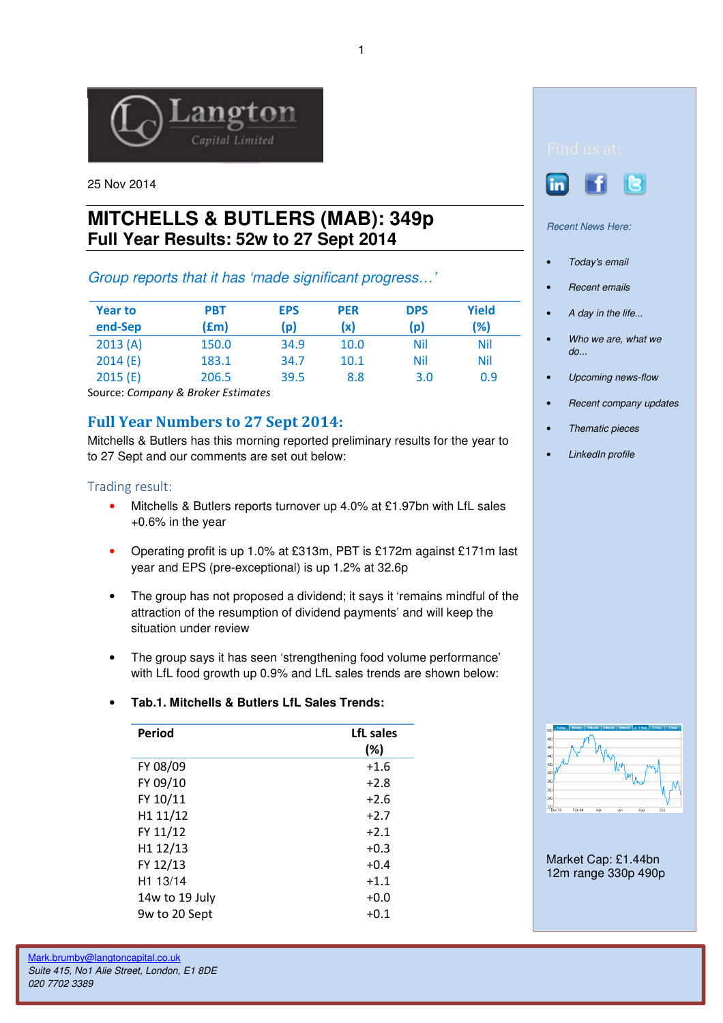

25 Nov 2014

# **MITCHELLS & BUTLERS (MAB): 349p Full Year Results: 52w to 27 Sept 2014**

## Group reports that it has 'made significant progress…'

| <b>Year to</b><br>end-Sep | <b>PBT</b><br>(fm) | <b>EPS</b><br>(p) | <b>PER</b><br>(x) | <b>DPS</b><br>(p) | <b>Yield</b><br>(%) |
|---------------------------|--------------------|-------------------|-------------------|-------------------|---------------------|
| 2013(A)                   | 150.0              | 34.9              | 10.0              | Nil               | Nil                 |
| 2014(E)                   | 183.1              | 34.7              | 10.1              | Nil               | Nil                 |
| 2015(E)                   | 206.5              | 39.5              | 8.8               | 3.0               | 0.9                 |

Source: Company & Broker Estimates

## Full Year Numbers to 27 Sept 2014:

Mitchells & Butlers has this morning reported preliminary results for the year to to 27 Sept and our comments are set out below:

### Trading result:

- Mitchells & Butlers reports turnover up 4.0% at £1.97bn with LfL sales +0.6% in the year
- Operating profit is up 1.0% at £313m, PBT is £172m against £171m last year and EPS (pre-exceptional) is up 1.2% at 32.6p
- The group has not proposed a dividend; it says it 'remains mindful of the attraction of the resumption of dividend payments' and will keep the situation under review
- The group says it has seen 'strengthening food volume performance' with LfL food growth up 0.9% and LfL sales trends are shown below:

#### • **Tab.1. Mitchells & Butlers LfL Sales Trends:**

| Period               | LfL sales<br>(%) |
|----------------------|------------------|
| FY 08/09             | $+1.6$           |
| FY 09/10             | $+2.8$           |
| FY 10/11             | $+2.6$           |
| H1 11/12             | $+2.7$           |
| FY 11/12             | $+2.1$           |
| H1 12/13             | $+0.3$           |
| FY 12/13             | $+0.4$           |
| H <sub>1</sub> 13/14 | $+1.1$           |
| 14w to 19 July       | $+0.0$           |
| 9w to 20 Sept        | $+0.1$           |





Recent News Here:

- Today's email
- Recent emails
- A day in the life...
- Who we are, what we do...
- Upcoming news-flow
- Recent company updates
- Thematic pieces
- LinkedIn profile



Market Cap: £1.44bn 12m range 330p 490p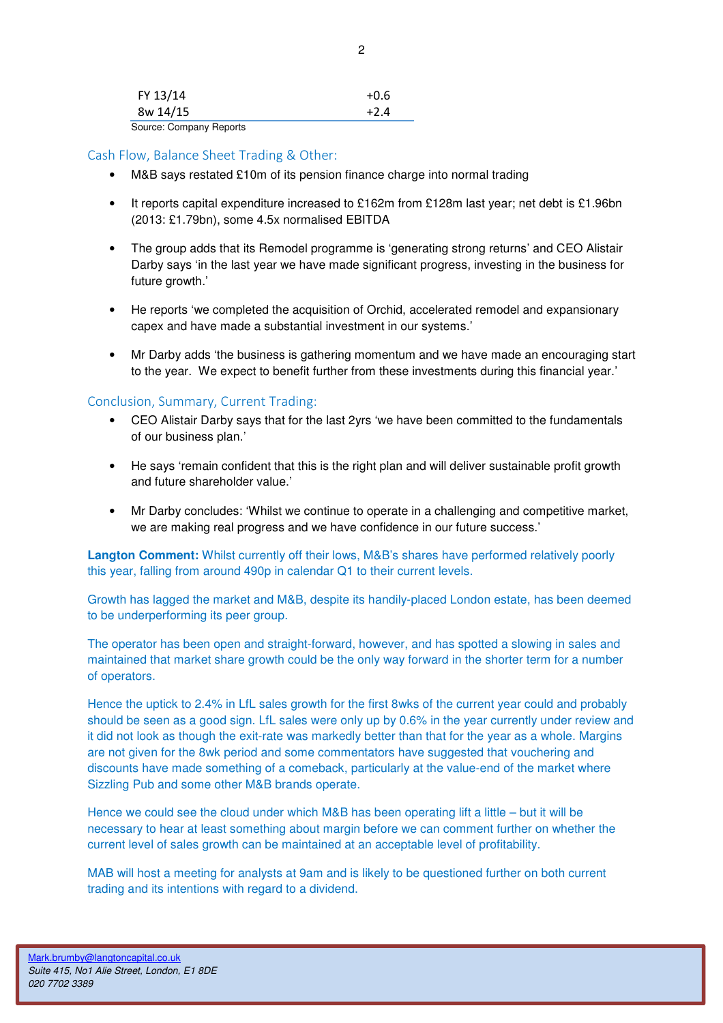| FY 13/14 |  | $+0.6$ |
|----------|--|--------|
| 8w 14/15 |  | $+2.4$ |
| $\sim$   |  |        |

Source: Company Reports

#### Cash Flow, Balance Sheet Trading & Other:

- M&B says restated £10m of its pension finance charge into normal trading
- It reports capital expenditure increased to £162m from £128m last year; net debt is £1.96bn (2013: £1.79bn), some 4.5x normalised EBITDA
- The group adds that its Remodel programme is 'generating strong returns' and CEO Alistair Darby says 'in the last year we have made significant progress, investing in the business for future growth.'
- He reports 'we completed the acquisition of Orchid, accelerated remodel and expansionary capex and have made a substantial investment in our systems.'
- Mr Darby adds 'the business is gathering momentum and we have made an encouraging start to the year. We expect to benefit further from these investments during this financial year.'

#### Conclusion, Summary, Current Trading:

- CEO Alistair Darby says that for the last 2yrs 'we have been committed to the fundamentals of our business plan.'
- He says 'remain confident that this is the right plan and will deliver sustainable profit growth and future shareholder value.'
- Mr Darby concludes: 'Whilst we continue to operate in a challenging and competitive market, we are making real progress and we have confidence in our future success.'

**Langton Comment:** Whilst currently off their lows, M&B's shares have performed relatively poorly this year, falling from around 490p in calendar Q1 to their current levels.

Growth has lagged the market and M&B, despite its handily-placed London estate, has been deemed to be underperforming its peer group.

The operator has been open and straight-forward, however, and has spotted a slowing in sales and maintained that market share growth could be the only way forward in the shorter term for a number of operators.

Hence the uptick to 2.4% in LfL sales growth for the first 8wks of the current year could and probably should be seen as a good sign. LfL sales were only up by 0.6% in the year currently under review and it did not look as though the exit-rate was markedly better than that for the year as a whole. Margins are not given for the 8wk period and some commentators have suggested that vouchering and discounts have made something of a comeback, particularly at the value-end of the market where Sizzling Pub and some other M&B brands operate.

Hence we could see the cloud under which M&B has been operating lift a little – but it will be necessary to hear at least something about margin before we can comment further on whether the current level of sales growth can be maintained at an acceptable level of profitability.

MAB will host a meeting for analysts at 9am and is likely to be questioned further on both current trading and its intentions with regard to a dividend.